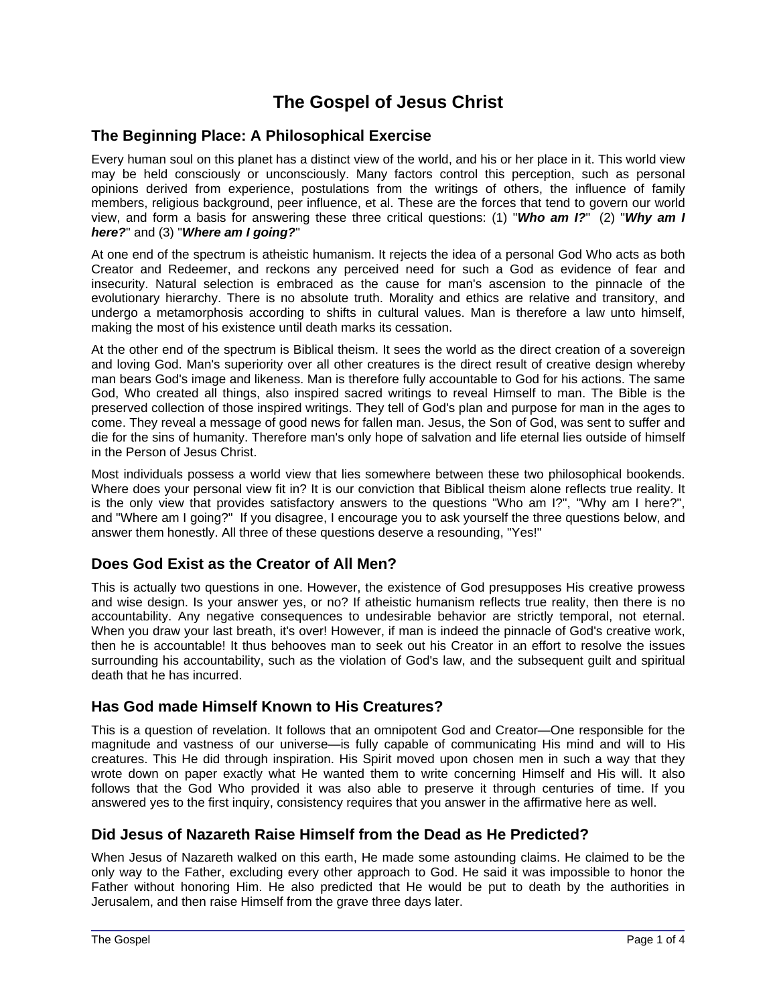### **The Gospel of Jesus Christ**

#### **The Beginning Place: A Philosophical Exercise**

Every human soul on this planet has a distinct view of the world, and his or her place in it. This world view may be held consciously or unconsciously. Many factors control this perception, such as personal opinions derived from experience, postulations from the writings of others, the influence of family members, religious background, peer influence, et al. These are the forces that tend to govern our world view, and form a basis for answering these three critical questions: (1) "*Who am I?*" (2) "*Why am I here?*" and (3) "*Where am I going?*"

At one end of the spectrum is atheistic humanism. It rejects the idea of a personal God Who acts as both Creator and Redeemer, and reckons any perceived need for such a God as evidence of fear and insecurity. Natural selection is embraced as the cause for man's ascension to the pinnacle of the evolutionary hierarchy. There is no absolute truth. Morality and ethics are relative and transitory, and undergo a metamorphosis according to shifts in cultural values. Man is therefore a law unto himself, making the most of his existence until death marks its cessation.

At the other end of the spectrum is Biblical theism. It sees the world as the direct creation of a sovereign and loving God. Man's superiority over all other creatures is the direct result of creative design whereby man bears God's image and likeness. Man is therefore fully accountable to God for his actions. The same God, Who created all things, also inspired sacred writings to reveal Himself to man. The Bible is the preserved collection of those inspired writings. They tell of God's plan and purpose for man in the ages to come. They reveal a message of good news for fallen man. Jesus, the Son of God, was sent to suffer and die for the sins of humanity. Therefore man's only hope of salvation and life eternal lies outside of himself in the Person of Jesus Christ.

Most individuals possess a world view that lies somewhere between these two philosophical bookends. Where does your personal view fit in? It is our conviction that Biblical theism alone reflects true reality. It is the only view that provides satisfactory answers to the questions "Who am I?", "Why am I here?", and "Where am I going?" If you disagree, I encourage you to ask yourself the three questions below, and answer them honestly. All three of these questions deserve a resounding, "Yes!"

#### **Does God Exist as the Creator of All Men?**

This is actually two questions in one. However, the existence of God presupposes His creative prowess and wise design. Is your answer yes, or no? If atheistic humanism reflects true reality, then there is no accountability. Any negative consequences to undesirable behavior are strictly temporal, not eternal. When you draw your last breath, it's over! However, if man is indeed the pinnacle of God's creative work, then he is accountable! It thus behooves man to seek out his Creator in an effort to resolve the issues surrounding his accountability, such as the violation of God's law, and the subsequent guilt and spiritual death that he has incurred.

#### **Has God made Himself Known to His Creatures?**

This is a question of revelation. It follows that an omnipotent God and Creator—One responsible for the magnitude and vastness of our universe—is fully capable of communicating His mind and will to His creatures. This He did through inspiration. His Spirit moved upon chosen men in such a way that they wrote down on paper exactly what He wanted them to write concerning Himself and His will. It also follows that the God Who provided it was also able to preserve it through centuries of time. If you answered yes to the first inquiry, consistency requires that you answer in the affirmative here as well.

#### **Did Jesus of Nazareth Raise Himself from the Dead as He Predicted?**

When Jesus of Nazareth walked on this earth, He made some astounding claims. He claimed to be the only way to the Father, excluding every other approach to God. He said it was impossible to honor the Father without honoring Him. He also predicted that He would be put to death by the authorities in Jerusalem, and then raise Himself from the grave three days later.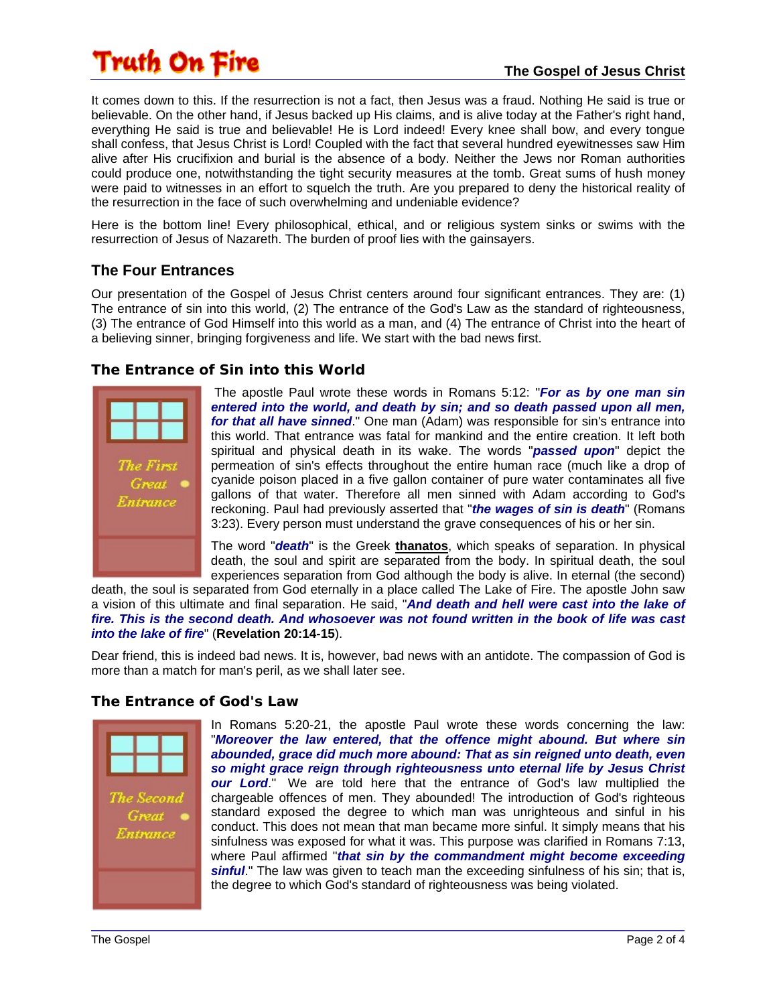# Truth On Fire

It comes down to this. If the resurrection is not a fact, then Jesus was a fraud. Nothing He said is true or believable. On the other hand, if Jesus backed up His claims, and is alive today at the Father's right hand, everything He said is true and believable! He is Lord indeed! Every knee shall bow, and every tongue shall confess, that Jesus Christ is Lord! Coupled with the fact that several hundred eyewitnesses saw Him alive after His crucifixion and burial is the absence of a body. Neither the Jews nor Roman authorities could produce one, notwithstanding the tight security measures at the tomb. Great sums of hush money were paid to witnesses in an effort to squelch the truth. Are you prepared to deny the historical reality of the resurrection in the face of such overwhelming and undeniable evidence?

Here is the bottom line! Every philosophical, ethical, and or religious system sinks or swims with the resurrection of Jesus of Nazareth. The burden of proof lies with the gainsayers.

### **The Four Entrances**

Our presentation of the Gospel of Jesus Christ centers around four significant entrances. They are: (1) The entrance of sin into this world, (2) The entrance of the God's Law as the standard of righteousness, (3) The entrance of God Himself into this world as a man, and (4) The entrance of Christ into the heart of a believing sinner, bringing forgiveness and life. We start with the bad news first.

#### **The Entrance of Sin into this World**



 The apostle Paul wrote these words in Romans 5:12: "*For as by one man sin entered into the world, and death by sin; and so death passed upon all men, for that all have sinned*." One man (Adam) was responsible for sin's entrance into this world. That entrance was fatal for mankind and the entire creation. It left both spiritual and physical death in its wake. The words "*passed upon*" depict the permeation of sin's effects throughout the entire human race (much like a drop of cyanide poison placed in a five gallon container of pure water contaminates all five gallons of that water. Therefore all men sinned with Adam according to God's reckoning. Paul had previously asserted that "*the wages of sin is death*" (Romans 3:23). Every person must understand the grave consequences of his or her sin.

The word "*death*" is the Greek **thanatos**, which speaks of separation. In physical death, the soul and spirit are separated from the body. In spiritual death, the soul experiences separation from God although the body is alive. In eternal (the second)

death, the soul is separated from God eternally in a place called The Lake of Fire. The apostle John saw a vision of this ultimate and final separation. He said, "*And death and hell were cast into the lake of fire. This is the second death. And whosoever was not found written in the book of life was cast into the lake of fire*" (**Revelation 20:14-15**).

Dear friend, this is indeed bad news. It is, however, bad news with an antidote. The compassion of God is more than a match for man's peril, as we shall later see.

#### **The Entrance of God's Law**



In Romans 5:20-21, the apostle Paul wrote these words concerning the law: "*Moreover the law entered, that the offence might abound. But where sin abounded, grace did much more abound: That as sin reigned unto death, even so might grace reign through righteousness unto eternal life by Jesus Christ our Lord*." We are told here that the entrance of God's law multiplied the chargeable offences of men. They abounded! The introduction of God's righteous standard exposed the degree to which man was unrighteous and sinful in his conduct. This does not mean that man became more sinful. It simply means that his sinfulness was exposed for what it was. This purpose was clarified in Romans 7:13, where Paul affirmed "*that sin by the commandment might become exceeding sinful*." The law was given to teach man the exceeding sinfulness of his sin; that is, the degree to which God's standard of righteousness was being violated.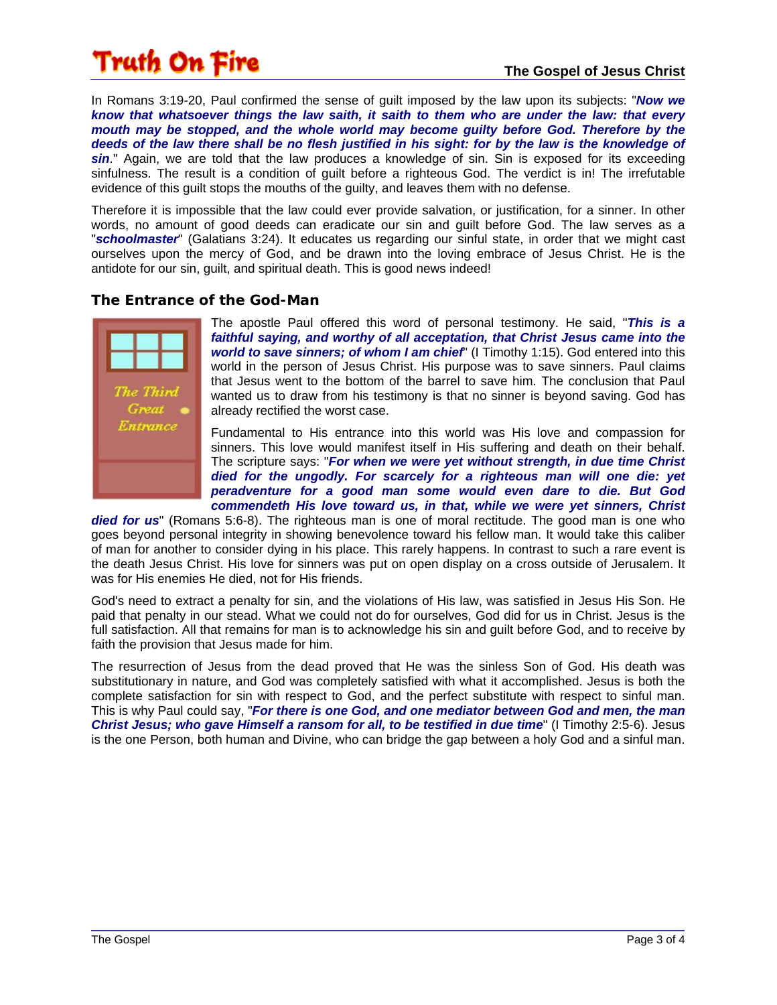# Truth On Fire

In Romans 3:19-20, Paul confirmed the sense of guilt imposed by the law upon its subjects: "*Now we know that whatsoever things the law saith, it saith to them who are under the law: that every mouth may be stopped, and the whole world may become guilty before God. Therefore by the deeds of the law there shall be no flesh justified in his sight: for by the law is the knowledge of*  sin." Again, we are told that the law produces a knowledge of sin. Sin is exposed for its exceeding sinfulness. The result is a condition of quilt before a righteous God. The verdict is in! The irrefutable evidence of this guilt stops the mouths of the guilty, and leaves them with no defense.

Therefore it is impossible that the law could ever provide salvation, or justification, for a sinner. In other words, no amount of good deeds can eradicate our sin and guilt before God. The law serves as a "*schoolmaster*" (Galatians 3:24). It educates us regarding our sinful state, in order that we might cast ourselves upon the mercy of God, and be drawn into the loving embrace of Jesus Christ. He is the antidote for our sin, guilt, and spiritual death. This is good news indeed!

#### **The Entrance of the God-Man**



The apostle Paul offered this word of personal testimony. He said, "*This is a faithful saying, and worthy of all acceptation, that Christ Jesus came into the world to save sinners; of whom I am chief*" (I Timothy 1:15). God entered into this world in the person of Jesus Christ. His purpose was to save sinners. Paul claims that Jesus went to the bottom of the barrel to save him. The conclusion that Paul wanted us to draw from his testimony is that no sinner is beyond saving. God has already rectified the worst case.

Fundamental to His entrance into this world was His love and compassion for sinners. This love would manifest itself in His suffering and death on their behalf. The scripture says: "*For when we were yet without strength, in due time Christ died for the ungodly. For scarcely for a righteous man will one die: yet peradventure for a good man some would even dare to die. But God commendeth His love toward us, in that, while we were yet sinners, Christ* 

died for us" (Romans 5:6-8). The righteous man is one of moral rectitude. The good man is one who goes beyond personal integrity in showing benevolence toward his fellow man. It would take this caliber of man for another to consider dying in his place. This rarely happens. In contrast to such a rare event is the death Jesus Christ. His love for sinners was put on open display on a cross outside of Jerusalem. It was for His enemies He died, not for His friends.

God's need to extract a penalty for sin, and the violations of His law, was satisfied in Jesus His Son. He paid that penalty in our stead. What we could not do for ourselves, God did for us in Christ. Jesus is the full satisfaction. All that remains for man is to acknowledge his sin and guilt before God, and to receive by faith the provision that Jesus made for him.

The resurrection of Jesus from the dead proved that He was the sinless Son of God. His death was substitutionary in nature, and God was completely satisfied with what it accomplished. Jesus is both the complete satisfaction for sin with respect to God, and the perfect substitute with respect to sinful man. This is why Paul could say, "*For there is one God, and one mediator between God and men, the man Christ Jesus; who gave Himself a ransom for all, to be testified in due time*" (I Timothy 2:5-6). Jesus is the one Person, both human and Divine, who can bridge the gap between a holy God and a sinful man.